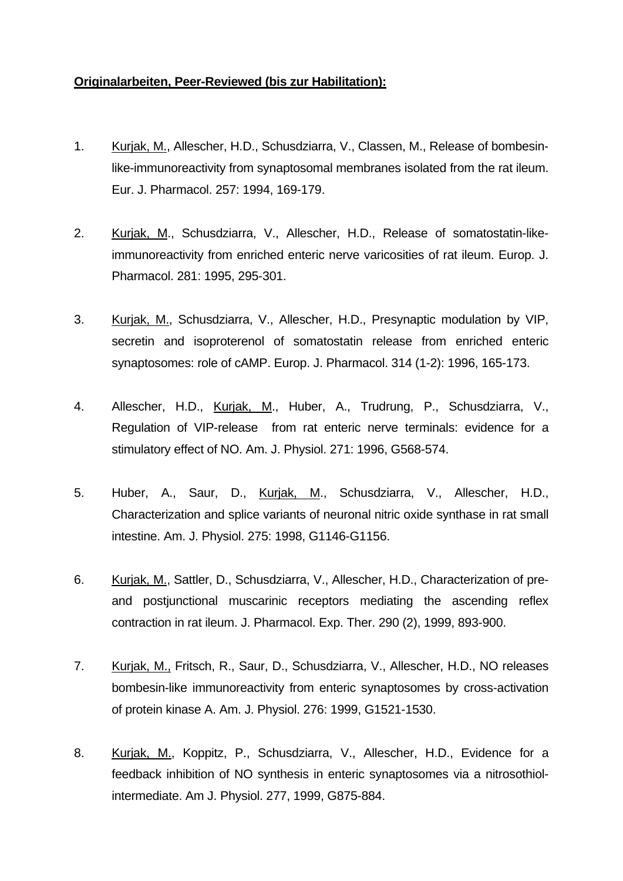## **Originalarbeiten, Peer-Reviewed (bis zur Habilitation):**

- 1. Kurjak, M., Allescher, H.D., Schusdziarra, V., Classen, M., Release of bombesinlike-immunoreactivity from synaptosomal membranes isolated from the rat ileum. Eur. J. Pharmacol. 257: 1994, 169-179.
- 2. Kurjak, M., Schusdziarra, V., Allescher, H.D., Release of somatostatin-likeimmunoreactivity from enriched enteric nerve varicosities of rat ileum. Europ. J. Pharmacol. 281: 1995, 295-301.
- 3. Kurjak, M., Schusdziarra, V., Allescher, H.D., Presynaptic modulation by VIP, secretin and isoproterenol of somatostatin release from enriched enteric synaptosomes: role of cAMP. Europ. J. Pharmacol. 314 (1-2): 1996, 165-173.
- 4. Allescher, H.D., Kurjak, M., Huber, A., Trudrung, P., Schusdziarra, V., Regulation of VIP-release from rat enteric nerve terminals: evidence for a stimulatory effect of NO. Am. J. Physiol. 271: 1996, G568-574.
- 5. Huber, A., Saur, D., Kurjak, M., Schusdziarra, V., Allescher, H.D., Characterization and splice variants of neuronal nitric oxide synthase in rat small intestine. Am. J. Physiol. 275: 1998, G1146-G1156.
- 6. Kurjak, M., Sattler, D., Schusdziarra, V., Allescher, H.D., Characterization of preand postjunctional muscarinic receptors mediating the ascending reflex contraction in rat ileum. J. Pharmacol. Exp. Ther. 290 (2), 1999, 893-900.
- 7. Kurjak, M., Fritsch, R., Saur, D., Schusdziarra, V., Allescher, H.D., NO releases bombesin-like immunoreactivity from enteric synaptosomes by cross-activation of protein kinase A. Am. J. Physiol. 276: 1999, G1521-1530.
- 8. Kurjak, M., Koppitz, P., Schusdziarra, V., Allescher, H.D., Evidence for a feedback inhibition of NO synthesis in enteric synaptosomes via a nitrosothiolintermediate. Am J. Physiol. 277, 1999, G875-884.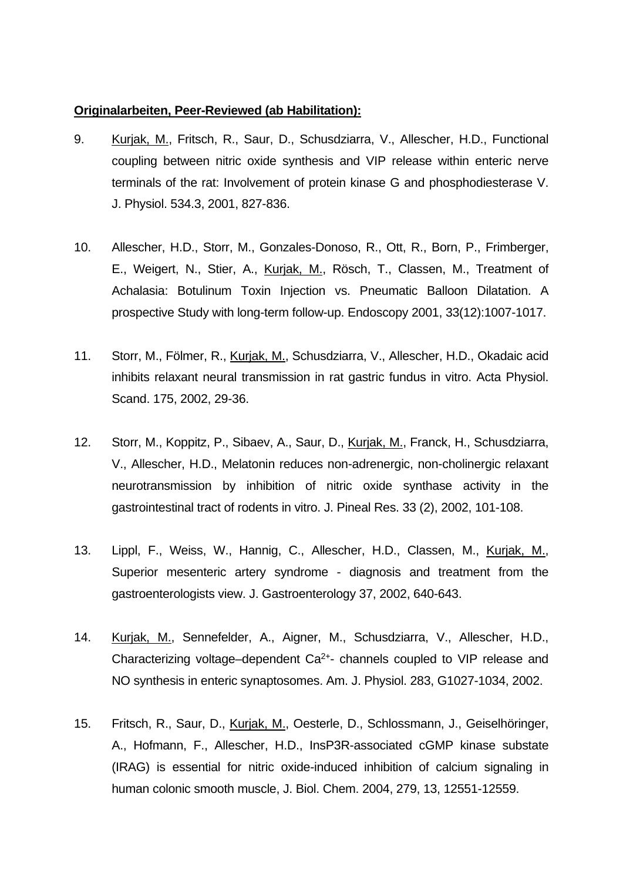## **Originalarbeiten, Peer-Reviewed (ab Habilitation):**

- 9. Kurjak, M., Fritsch, R., Saur, D., Schusdziarra, V., Allescher, H.D., Functional coupling between nitric oxide synthesis and VIP release within enteric nerve terminals of the rat: Involvement of protein kinase G and phosphodiesterase V. J. Physiol. 534.3, 2001, 827-836.
- 10. Allescher, H.D., Storr, M., Gonzales-Donoso, R., Ott, R., Born, P., Frimberger, E., Weigert, N., Stier, A., Kurjak, M., Rösch, T., Classen, M., Treatment of Achalasia: Botulinum Toxin Injection vs. Pneumatic Balloon Dilatation. A prospective Study with long-term follow-up. Endoscopy 2001, 33(12):1007-1017.
- 11. Storr, M., Fölmer, R., Kurjak, M., Schusdziarra, V., Allescher, H.D., Okadaic acid inhibits relaxant neural transmission in rat gastric fundus in vitro. Acta Physiol. Scand. 175, 2002, 29-36.
- 12. Storr, M., Koppitz, P., Sibaev, A., Saur, D., Kurjak, M., Franck, H., Schusdziarra, V., Allescher, H.D., Melatonin reduces non-adrenergic, non-cholinergic relaxant neurotransmission by inhibition of nitric oxide synthase activity in the gastrointestinal tract of rodents in vitro. J. Pineal Res. 33 (2), 2002, 101-108.
- 13. Lippl, F., Weiss, W., Hannig, C., Allescher, H.D., Classen, M., Kurjak, M., Superior mesenteric artery syndrome - diagnosis and treatment from the gastroenterologists view. J. Gastroenterology 37, 2002, 640-643.
- 14. Kurjak, M., Sennefelder, A., Aigner, M., Schusdziarra, V., Allescher, H.D., Characterizing voltage–dependent  $Ca^{2+}$ - channels coupled to VIP release and NO synthesis in enteric synaptosomes. Am. J. Physiol. 283, G1027-1034, 2002.
- 15. Fritsch, R., Saur, D., Kurjak, M., Oesterle, D., Schlossmann, J., Geiselhöringer, A., Hofmann, F., Allescher, H.D., InsP3R-associated cGMP kinase substate (IRAG) is essential for nitric oxide-induced inhibition of calcium signaling in human colonic smooth muscle, J. Biol. Chem. 2004, 279, 13, 12551-12559.